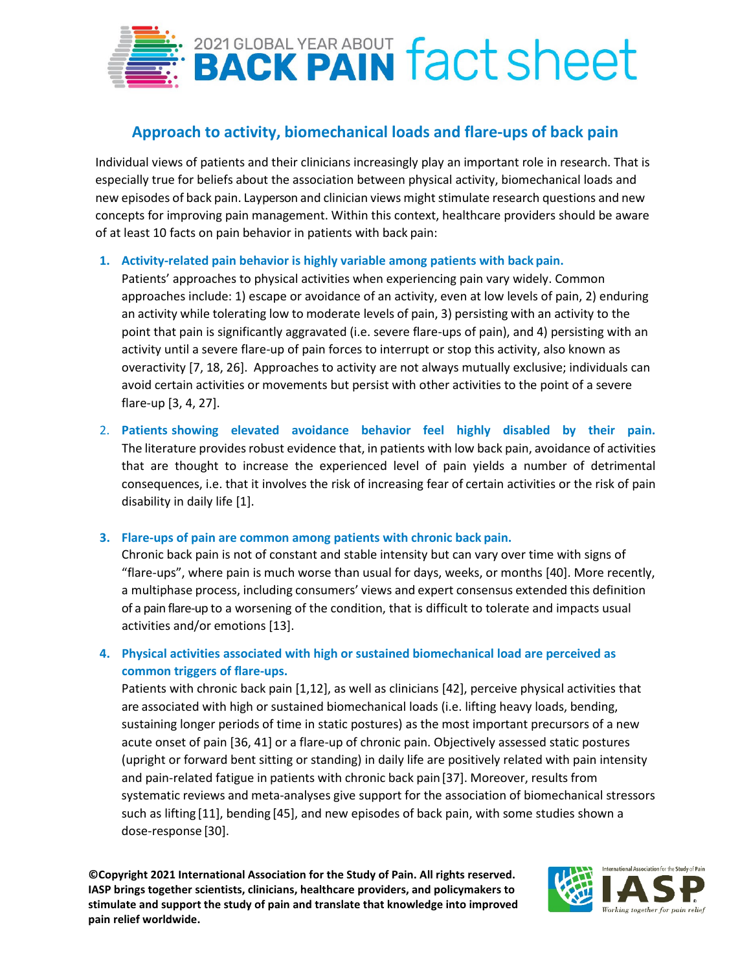

# **Approach to activity, biomechanical loads and flare-ups of back pain**

Individual views of patients and their clinicians increasingly play an important role in research. That is especially true for beliefs about the association between physical activity, biomechanical loads and new episodes of back pain. Layperson and clinician views might stimulate research questions and new concepts for improving pain management. Within this context, healthcare providers should be aware of at least 10 facts on pain behavior in patients with back pain:

### **1. Activity-related pain behavior is highly variable among patients with back pain.**

Patients' approaches to physical activities when experiencing pain vary widely. Common approaches include: 1) escape or avoidance of an activity, even at low levels of pain, 2) enduring an activity while tolerating low to moderate levels of pain, 3) persisting with an activity to the point that pain is significantly aggravated (i.e. severe flare-ups of pain), and 4) persisting with an activity until a severe flare-up of pain forces to interrupt or stop this activity, also known as overactivity [7, 18, 26]. Approaches to activity are not always mutually exclusive; individuals can avoid certain activities or movements but persist with other activities to the point of a severe flare-up [3, 4, 27].

2. **Patients showing elevated avoidance behavior feel highly disabled by their pain.**  The literature provides robust evidence that, in patients with low back pain, avoidance of activities that are thought to increase the experienced level of pain yields a number of detrimental consequences, i.e. that it involves the risk of increasing fear of certain activities or the risk of pain disability in daily life [1].

### **3. Flare-ups of pain are common among patients with chronic back pain.**

Chronic back pain is not of constant and stable intensity but can vary over time with signs of "flare-ups", where pain is much worse than usual for days, weeks, or months [40]. More recently, a multiphase process, including consumers' views and expert consensus extended this definition of a pain flare-up to a worsening of the condition, that is difficult to tolerate and impacts usual activities and/or emotions [13].

## **4. Physical activities associated with high or sustained biomechanical load are perceived as common triggers of flare-ups.**

Patients with chronic back pain [1,12], as well as clinicians [42], perceive physical activities that are associated with high or sustained biomechanical loads (i.e. lifting heavy loads, bending, sustaining longer periods of time in static postures) as the most important precursors of a new acute onset of pain [36, 41] or a flare-up of chronic pain. Objectively assessed static postures (upright or forward bent sitting or standing) in daily life are positively related with pain intensity and pain-related fatigue in patients with chronic back pain[37]. Moreover, results from systematic reviews and meta-analyses give support for the association of biomechanical stressors such as lifting [11], bending [45], and new episodes of back pain, with some studies shown a dose-response [30].

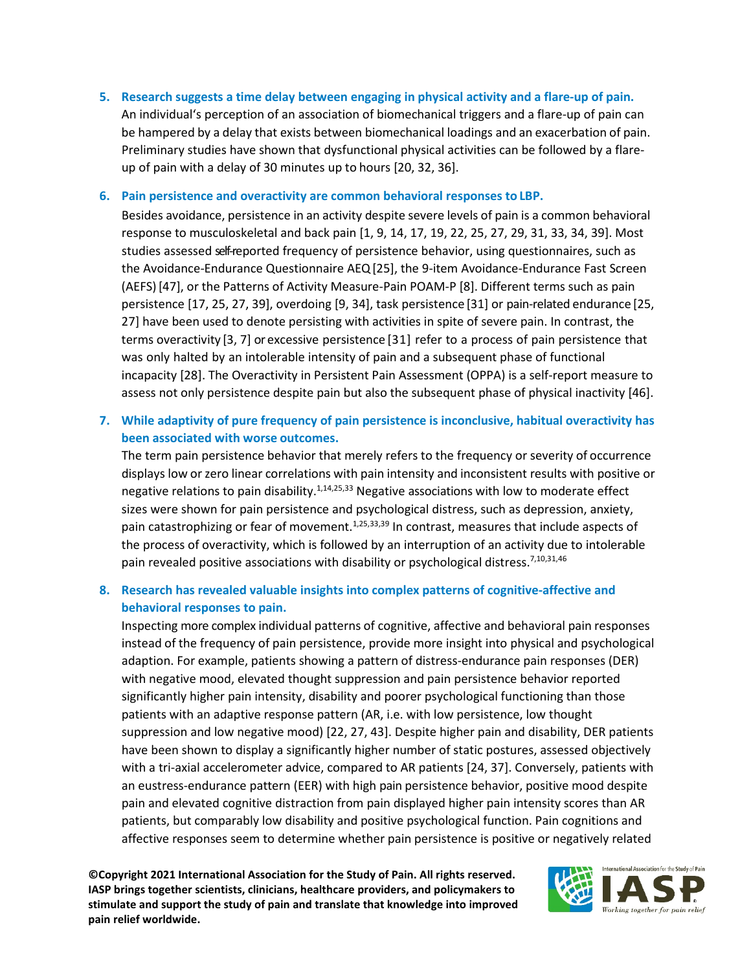**5. Research suggests a time delay between engaging in physical activity and a flare-up of pain.** An individual's perception of an association of biomechanical triggers and a flare-up of pain can be hampered by a delay that exists between biomechanical loadings and an exacerbation of pain. Preliminary studies have shown that dysfunctional physical activities can be followed by a flareup of pain with a delay of 30 minutes up to hours [20, 32, 36].

#### **6. Pain persistence and overactivity are common behavioral responses to LBP.**

Besides avoidance, persistence in an activity despite severe levels of pain is a common behavioral response to musculoskeletal and back pain [1, 9, 14, 17, 19, 22, 25, 27, 29, 31, 33, 34, 39]. Most studies assessed self-reported frequency of persistence behavior, using questionnaires, such as the Avoidance-Endurance Questionnaire AEQ[25], the 9-item Avoidance-Endurance Fast Screen (AEFS)[47], or the Patterns of Activity Measure-Pain POAM-P [8]. Different terms such as pain persistence [17, 25, 27, 39], overdoing [9, 34], task persistence [31] or pain-related endurance [25, 27] have been used to denote persisting with activities in spite of severe pain. In contrast, the terms overactivity [3, 7] or excessive persistence [31] refer to a process of pain persistence that was only halted by an intolerable intensity of pain and a subsequent phase of functional incapacity [28]. The Overactivity in Persistent Pain Assessment (OPPA) is a self-report measure to assess not only persistence despite pain but also the subsequent phase of physical inactivity [46].

## **7. While adaptivity of pure frequency of pain persistence is inconclusive, habitual overactivity has been associated with worse outcomes.**

The term pain persistence behavior that merely refers to the frequency or severity of occurrence displays low or zero linear correlations with pain intensity and inconsistent results with positive or negative relations to pain disability.<sup>1,14,25,33</sup> Negative associations with low to moderate effect sizes were shown for pain persistence and psychological distress, such as depression, anxiety, pain catastrophizing or fear of movement.<sup>1,25,33,39</sup> In contrast, measures that include aspects of the process of overactivity, which is followed by an interruption of an activity due to intolerable pain revealed positive associations with disability or psychological distress.<sup>7,10,31,46</sup>

## **8. Research has revealed valuable insights into complex patterns of cognitive-affective and behavioral responses to pain.**

Inspecting more complex individual patterns of cognitive, affective and behavioral pain responses instead of the frequency of pain persistence, provide more insight into physical and psychological adaption. For example, patients showing a pattern of distress-endurance pain responses (DER) with negative mood, elevated thought suppression and pain persistence behavior reported significantly higher pain intensity, disability and poorer psychological functioning than those patients with an adaptive response pattern (AR, i.e. with low persistence, low thought suppression and low negative mood) [22, 27, 43]. Despite higher pain and disability, DER patients have been shown to display a significantly higher number of static postures, assessed objectively with a tri-axial accelerometer advice, compared to AR patients [24, 37]. Conversely, patients with an eustress-endurance pattern (EER) with high pain persistence behavior, positive mood despite pain and elevated cognitive distraction from pain displayed higher pain intensity scores than AR patients, but comparably low disability and positive psychological function. Pain cognitions and affective responses seem to determine whether pain persistence is positive or negatively related

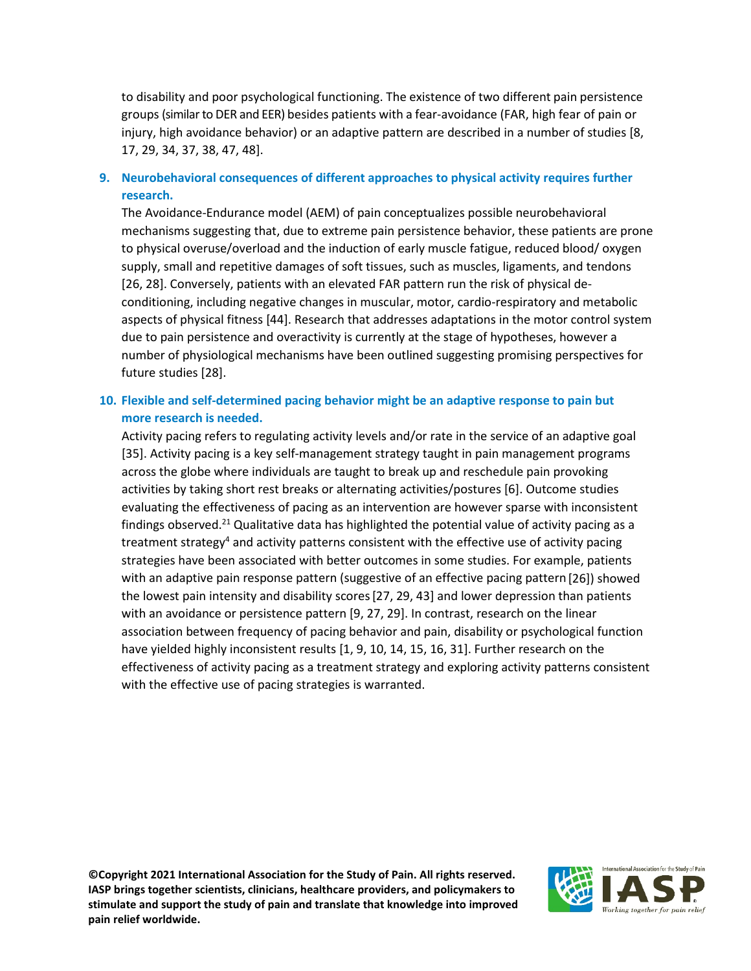to disability and poor psychological functioning. The existence of two different pain persistence groups (similar to DER and EER) besides patients with a fear-avoidance (FAR, high fear of pain or injury, high avoidance behavior) or an adaptive pattern are described in a number of studies [8, 17, 29, 34, 37, 38, 47, 48].

## **9. Neurobehavioral consequences of different approaches to physical activity requires further research.**

The Avoidance-Endurance model (AEM) of pain conceptualizes possible neurobehavioral mechanisms suggesting that, due to extreme pain persistence behavior, these patients are prone to physical overuse/overload and the induction of early muscle fatigue, reduced blood/ oxygen supply, small and repetitive damages of soft tissues, such as muscles, ligaments, and tendons [26, 28]. Conversely, patients with an elevated FAR pattern run the risk of physical deconditioning, including negative changes in muscular, motor, cardio-respiratory and metabolic aspects of physical fitness [44]. Research that addresses adaptations in the motor control system due to pain persistence and overactivity is currently at the stage of hypotheses, however a number of physiological mechanisms have been outlined suggesting promising perspectives for future studies [28].

## **10. Flexible and self-determined pacing behavior might be an adaptive response to pain but more research is needed.**

Activity pacing refers to regulating activity levels and/or rate in the service of an adaptive goal [35]. Activity pacing is a key self-management strategy taught in pain management programs across the globe where individuals are taught to break up and reschedule pain provoking activities by taking short rest breaks or alternating activities/postures [6]. Outcome studies evaluating the effectiveness of pacing as an intervention are however sparse with inconsistent findings observed.<sup>21</sup> Qualitative data has highlighted the potential value of activity pacing as a treatment strategy<sup>4</sup> and activity patterns consistent with the effective use of activity pacing strategies have been associated with better outcomes in some studies. For example, patients with an adaptive pain response pattern (suggestive of an effective pacing pattern[26]) showed the lowest pain intensity and disability scores[27, 29, 43] and lower depression than patients with an avoidance or persistence pattern [9, 27, 29]. In contrast, research on the linear association between frequency of pacing behavior and pain, disability or psychological function have yielded highly inconsistent results [1, 9, 10, 14, 15, 16, 31]. Further research on the effectiveness of activity pacing as a treatment strategy and exploring activity patterns consistent with the effective use of pacing strategies is warranted.

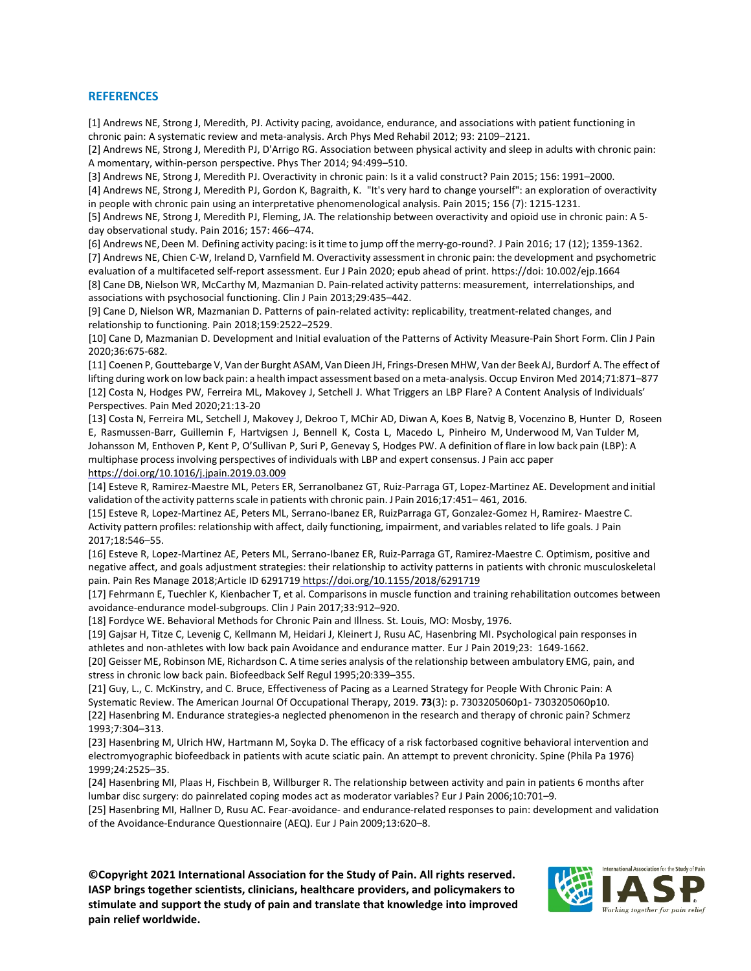#### **REFERENCES**

[1] Andrews NE, Strong J, Meredith, PJ. Activity pacing, avoidance, endurance, and associations with patient functioning in chronic pain: A systematic review and meta-analysis. Arch Phys Med Rehabil 2012; 93: 2109–2121.

[2] Andrews NE, Strong J, Meredith PJ, D'Arrigo RG. Association between physical activity and sleep in adults with chronic pain: A momentary, within-person perspective. Phys Ther 2014; 94:499–510.

[3] Andrews NE, Strong J, Meredith PJ. Overactivity in chronic pain: Is it a valid construct? Pain 2015; 156: 1991–2000.

[4] Andrews NE, Strong J, Meredith PJ, Gordon K, Bagraith, K. "It's very hard to change yourself": an exploration of overactivity in people with chronic pain using an interpretative phenomenological analysis. Pain 2015; 156 (7): 1215-1231.

[5] Andrews NE, Strong J, Meredith PJ, Fleming, JA. The relationship between overactivity and opioid use in chronic pain: A 5 day observational study. Pain 2016; 157: 466–474.

[6] Andrews NE, Deen M. Defining activity pacing: isit time to jump off the merry-go-round?. J Pain 2016; 17 (12); 1359-1362. [7] Andrews NE, Chien C-W, Ireland D, Varnfield M. Overactivity assessment in chronic pain: the development and psychometric evaluation of a multifaceted self-report assessment. Eur J Pain 2020; epub ahead of print. https://doi: 10.002/ejp.1664 [8] Cane DB, Nielson WR, McCarthy M, Mazmanian D. Pain-related activity patterns: measurement, interrelationships, and associations with psychosocial functioning. Clin J Pain 2013;29:435–442.

[9] Cane D, Nielson WR, Mazmanian D. Patterns of pain-related activity: replicability, treatment-related changes, and relationship to functioning. Pain 2018;159:2522–2529.

[10] Cane D, Mazmanian D. Development and Initial evaluation of the Patterns of Activity Measure-Pain Short Form. Clin J Pain 2020;36:675-682.

[11] Coenen P, Gouttebarge V, Van der Burght ASAM, Van Dieen JH, Frings-Dresen MHW, Van der Beek AJ, Burdorf A. The effect of lifting during work on low back pain: a health impact assessment based on a meta-analysis. Occup Environ Med 2014;71:871–877 [12] Costa N, Hodges PW, Ferreira ML, Makovey J, Setchell J. What Triggers an LBP Flare? A Content Analysis of Individuals' Perspectives. Pain Med 2020;21:13-20

[13] Costa N, Ferreira ML, Setchell J, Makovey J, Dekroo T, MChir AD, Diwan A, Koes B, Natvig B, Vocenzino B, Hunter D, Roseen E, Rasmussen-Barr, Guillemin F, Hartvigsen J, Bennell K, Costa L, Macedo L, Pinheiro M, Underwood M, Van Tulder M, Johansson M, Enthoven P, Kent P, O'Sullivan P, Suri P, Genevay S, Hodges PW. A definition of flare in low back pain (LBP): A multiphase process involving perspectives of individuals with LBP and expert consensus. J Pain acc paper [https://doi.org/10.1016/j.jpain.2019.03.009](https://doi.org/10.1016/j.jpain.2019.03.009%2011)

[14] Esteve R, Ramirez-Maestre ML, Peters ER, SerranoIbanez GT, Ruiz-Parraga GT, Lopez-Martinez AE. Development and initial validation ofthe activity patternsscale in patients with chronic pain. J Pain 2016;17:451– 461, 2016.

[15] Esteve R, Lopez-Martinez AE, Peters ML, Serrano-Ibanez ER, RuizParraga GT, Gonzalez-Gomez H, Ramirez- Maestre C. Activity pattern profiles: relationship with affect, daily functioning, impairment, and variables related to life goals. J Pain 2017;18:546–55.

[16] Esteve R, Lopez-Martinez AE, Peters ML, Serrano-Ibanez ER, Ruiz-Parraga GT, Ramirez-Maestre C. Optimism, positive and negative affect, and goals adjustment strategies: their relationship to activity patterns in patients with chronic musculoskeletal pain. Pain Res Manage 2018;Article ID 6291719 <https://doi.org/10.1155/2018/6291719>

[17] Fehrmann E, Tuechler K, Kienbacher T, et al. Comparisons in muscle function and training rehabilitation outcomes between avoidance-endurance model-subgroups. Clin J Pain 2017;33:912–920.

[18] Fordyce WE. Behavioral Methods for Chronic Pain and Illness. St. Louis, MO: Mosby, 1976.

[19] Gajsar H, Titze C, Levenig C, Kellmann M, Heidari J, Kleinert J, Rusu AC, Hasenbring MI. Psychological pain responses in athletes and non-athletes with low back pain Avoidance and endurance matter. Eur J Pain 2019;23: 1649-1662.

[20] Geisser ME, Robinson ME, Richardson C. A time series analysis of the relationship between ambulatory EMG, pain, and stress in chronic low back pain. Biofeedback Self Regul 1995;20:339–355.

[21] Guy, L., C. McKinstry, and C. Bruce, Effectiveness of Pacing as a Learned Strategy for People With Chronic Pain: A Systematic Review. The American Journal Of Occupational Therapy, 2019. **73**(3): p. 7303205060p1- 7303205060p10. [22] Hasenbring M. Endurance strategies-a neglected phenomenon in the research and therapy of chronic pain? Schmerz 1993;7:304–313.

[23] Hasenbring M, Ulrich HW, Hartmann M, Soyka D. The efficacy of a risk factorbased cognitive behavioral intervention and electromyographic biofeedback in patients with acute sciatic pain. An attempt to prevent chronicity. Spine (Phila Pa 1976) 1999;24:2525–35.

[24] Hasenbring MI, Plaas H, Fischbein B, Willburger R. The relationship between activity and pain in patients 6 months after lumbar disc surgery: do painrelated coping modes act as moderator variables? Eur J Pain 2006;10:701–9.

[25] Hasenbring MI, Hallner D, Rusu AC. Fear-avoidance- and endurance-related responses to pain: development and validation of the Avoidance-Endurance Questionnaire (AEQ). Eur J Pain 2009;13:620–8.

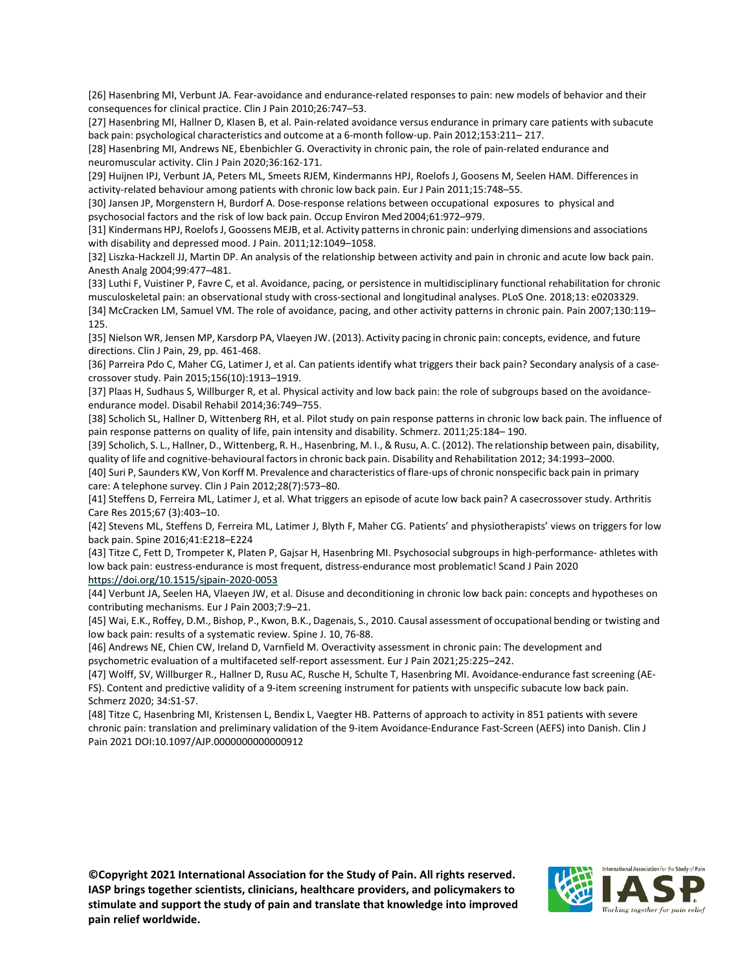[26] Hasenbring MI, Verbunt JA. Fear-avoidance and endurance-related responses to pain: new models of behavior and their consequences for clinical practice. Clin J Pain 2010;26:747–53.

[27] Hasenbring MI, Hallner D, Klasen B, et al. Pain-related avoidance versus endurance in primary care patients with subacute back pain: psychological characteristics and outcome at a 6-month follow-up. Pain 2012;153:211– 217.

[28] Hasenbring MI, Andrews NE, Ebenbichler G. Overactivity in chronic pain, the role of pain-related endurance and neuromuscular activity. Clin J Pain 2020;36:162-171.

[29] Huijnen IPJ, Verbunt JA, Peters ML, Smeets RJEM, Kindermanns HPJ, Roelofs J, Goosens M, Seelen HAM. Differences in activity-related behaviour among patients with chronic low back pain. Eur J Pain 2011;15:748–55.

[30] Jansen JP, Morgenstern H, Burdorf A. Dose-response relations between occupational exposures to physical and psychosocial factors and the risk of low back pain. Occup Environ Med2004;61:972–979.

[31] Kindermans HPJ, RoelofsJ, Goossens MEJB, et al. Activity patternsin chronic pain: underlying dimensions and associations with disability and depressed mood. J Pain. 2011;12:1049–1058.

[32] Liszka-Hackzell JJ, Martin DP. An analysis of the relationship between activity and pain in chronic and acute low back pain. Anesth Analg 2004;99:477–481.

[33] Luthi F, Vuistiner P, Favre C, et al. Avoidance, pacing, or persistence in multidisciplinary functional rehabilitation for chronic musculoskeletal pain: an observational study with cross-sectional and longitudinal analyses. PLoS One. 2018;13: e0203329. [34] McCracken LM, Samuel VM. The role of avoidance, pacing, and other activity patterns in chronic pain. Pain 2007;130:119– 125.

[35] Nielson WR, Jensen MP, Karsdorp PA, Vlaeyen JW. (2013). Activity pacing in chronic pain: concepts, evidence, and future directions. Clin J Pain, 29, pp. 461-468.

[36] Parreira Pdo C, Maher CG, Latimer J, et al. Can patients identify what triggers their back pain? Secondary analysis of a casecrossover study. Pain 2015;156(10):1913–1919.

[37] Plaas H, Sudhaus S, Willburger R, et al. Physical activity and low back pain: the role of subgroups based on the avoidanceendurance model. Disabil Rehabil 2014;36:749–755.

[38] Scholich SL, Hallner D, Wittenberg RH, et al. Pilot study on pain response patterns in chronic low back pain. The influence of pain response patterns on quality of life, pain intensity and disability. Schmerz. 2011;25:184– 190.

[39] Scholich, S. L., Hallner, D., Wittenberg, R. H., Hasenbring, M. I., & Rusu, A. C. (2012). The relationship between pain, disability, quality of life and cognitive-behavioural factorsin chronic back pain. Disability and Rehabilitation 2012; 34:1993–2000.

[40] Suri P, Saunders KW, Von Korff M. Prevalence and characteristics of flare-ups of chronic nonspecific back pain in primary care: A telephone survey. Clin J Pain 2012;28(7):573–80.

[41] Steffens D, Ferreira ML, Latimer J, et al. What triggers an episode of acute low back pain? A casecrossover study. Arthritis Care Res 2015;67 (3):403–10.

[42] Stevens ML, Steffens D, Ferreira ML, Latimer J, Blyth F, Maher CG. Patients' and physiotherapists' views on triggers for low back pain. Spine 2016;41:E218–E224

[43] Titze C, Fett D, Trompeter K, Platen P, Gajsar H, Hasenbring MI. Psychosocial subgroups in high-performance- athletes with low back pain: eustress-endurance is most frequent, distress-endurance most problematic! Scand J Pain 2020 <https://doi.org/10.1515/sjpain-2020-0053>

[44] Verbunt JA, Seelen HA, Vlaeyen JW, et al. Disuse and deconditioning in chronic low back pain: concepts and hypotheses on contributing mechanisms. Eur J Pain 2003;7:9–21.

[45] Wai, E.K., Roffey, D.M., Bishop, P., Kwon, B.K., Dagenais, S., 2010. Causal assessment of occupational bending or twisting and low back pain: results of a systematic review. Spine J. 10, 76-88.

[46] Andrews NE, Chien CW, Ireland D, Varnfield M. Overactivity assessment in chronic pain: The development and psychometric evaluation of a multifaceted self-report assessment. Eur J Pain 2021;25:225–242.

[47] Wolff, SV, Willburger R., Hallner D, Rusu AC, Rusche H, Schulte T, Hasenbring MI. [Avoidance-endurance fast screening \(AE-](https://apps.webofknowledge.com/full_record.do?product=UA&search_mode=GeneralSearch&qid=7&SID=D23pbY8d6FoCLIDlHrP&page=1&doc=6)[FS\). Content and predictive validity of a 9-item screening instrument for patients with unspecific subacute low back pain.](https://apps.webofknowledge.com/full_record.do?product=UA&search_mode=GeneralSearch&qid=7&SID=D23pbY8d6FoCLIDlHrP&page=1&doc=6)  Schmerz 2020; 34:S1-S7.

[48] Titze C, Hasenbring MI, Kristensen L, Bendix L, Vaegter HB. Patterns of approach to activity in 851 patients with severe chronic pain: translation and preliminary validation of the 9-item Avoidance-Endurance Fast-Screen (AEFS) into Danish. Clin J Pain 2021 DOI:10.1097/AJP.0000000000000912